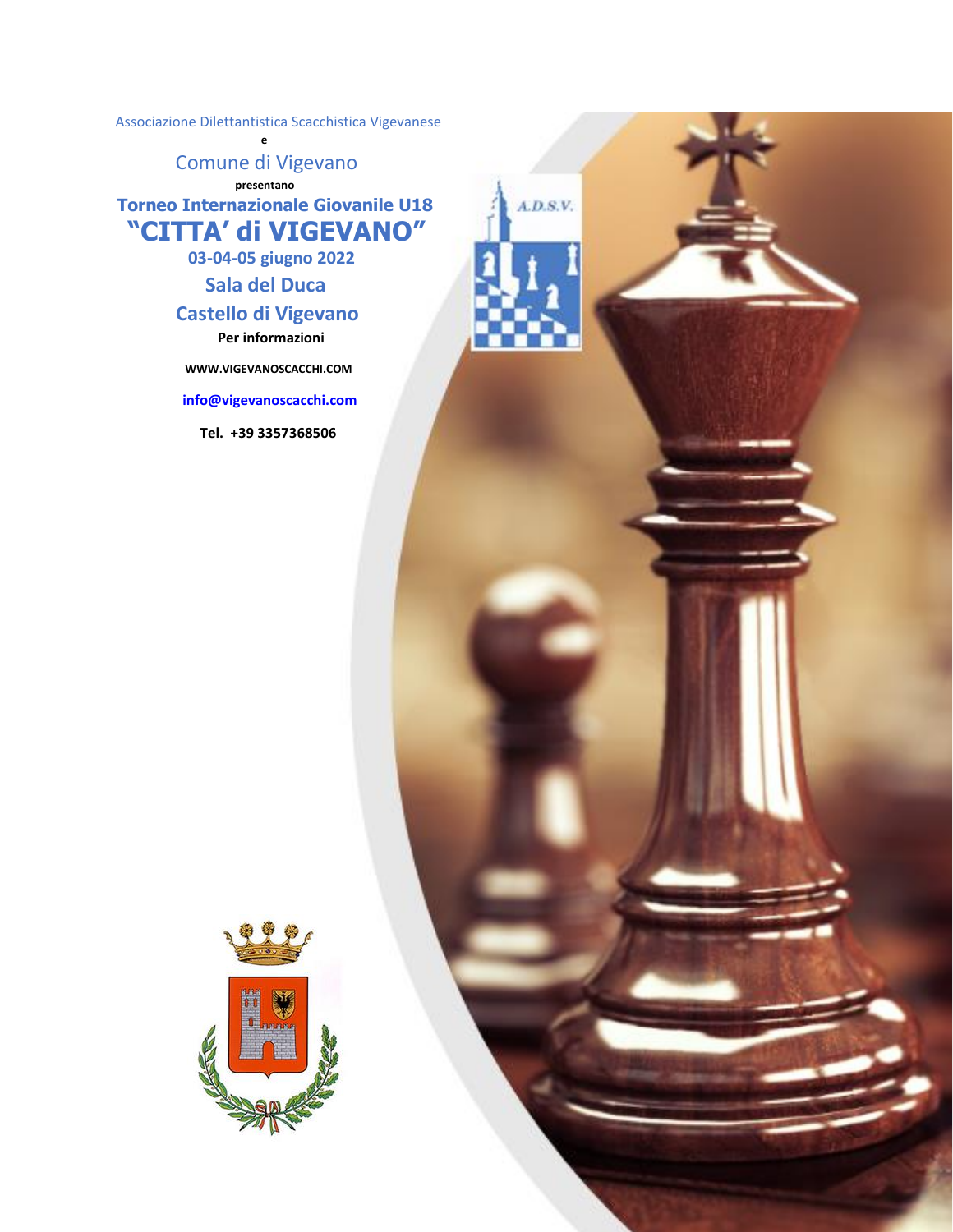Associazione Dilettantistica Scacchistica Vigevanese

Comune di Vigevano  **presentano Torneo Internazionale Giovanile U18**

**e** 

 **"CITTA' di VIGEVANO"**

 $A.D.S.V.$ 

 **03-04-05 giugno 2022**

# **Sala del Duca**

# **Castello di Vigevano**

 **Per informazioni** 

 **WWW.VIGEVANOSCACCHI.COM** 

 **[info@vigevanoscacchi.com](mailto:info@vigevanoscacchi.com)** 

 **Tel. +39 3357368506** 

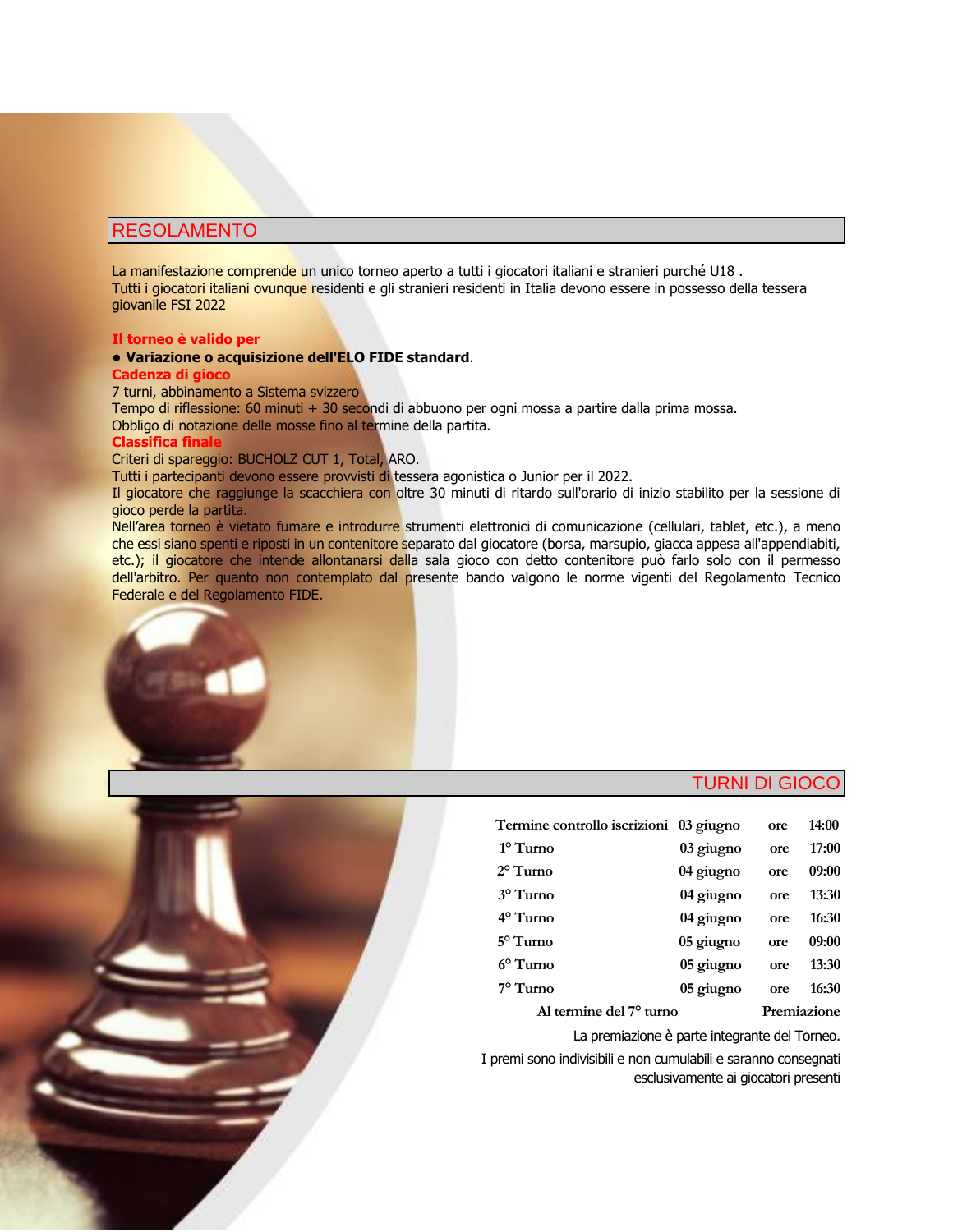# REGOLAMENTO

La manifestazione comprende un unico torneo aperto a tutti i giocatori italiani e stranieri purché U18. Tutti i giocatori italiani ovunque residenti e gli stranieri residenti in Italia devono essere in possesso della tessera giovanile FSI 2022

#### **Il torneo è valido per**

#### ● **Variazione o acquisizione dell'ELO FIDE standard**.

#### **Cadenza di gioco**

7 turni, abbinamento a Sistema svizzero

Tempo di riflessione: 60 minuti + 30 secondi di abbuono per ogni mossa a partire dalla prima mossa. Obbligo di notazione delle mosse fino al termine della partita.

## **Classifica finale**

#### Criteri di spareggio: BUCHOLZ CUT 1, Total, ARO.

Tutti i partecipanti devono essere provvisti di tessera agonistica o Junior per il 2022.

Il giocatore che raggiunge la scacchiera con oltre 30 minuti di ritardo sull'orario di inizio stabilito per la sessione di gioco perde la partita.

Nell'area torneo è vietato fumare e introdurre strumenti elettronici di comunicazione (cellulari, tablet, etc.), a meno che essi siano spenti e riposti in un contenitore separato dal giocatore (borsa, marsupio, giacca appesa all'appendiabiti, etc.); il giocatore che intende allontanarsi dalla sala gioco con detto contenitore può farlo solo con il permesso dell'arbitro. Per quanto non contemplato dal presente bando valgono le norme vigenti del Regolamento Tecnico Federale e del Regolamento FIDE.



# TURNI DI GIOCO

| Termine controllo iscrizioni 03 giugno |           | ore         | 14:00 |
|----------------------------------------|-----------|-------------|-------|
| $1^\circ$ Turno                        | 03 giugno | ore         | 17:00 |
| $2^{\circ}$ Turno                      | 04 giugno | ore         | 09:00 |
| 3° Turno                               | 04 giugno | ore         | 13:30 |
| 4° Turno                               | 04 giugno | ore         | 16:30 |
| 5° Turno                               | 05 giugno | ore         | 09:00 |
| $6^{\circ}$ Turno                      | 05 giugno | ore         | 13:30 |
| $7^\circ$ Turno                        | 05 giugno | ore         | 16:30 |
| Al termine del 7 <sup>o</sup> turno    |           | Premiazione |       |
|                                        |           |             |       |

La premiazione è parte integrante del Torneo.

 I premi sono indivisibili e non cumulabili e saranno consegnati esclusivamente ai giocatori presenti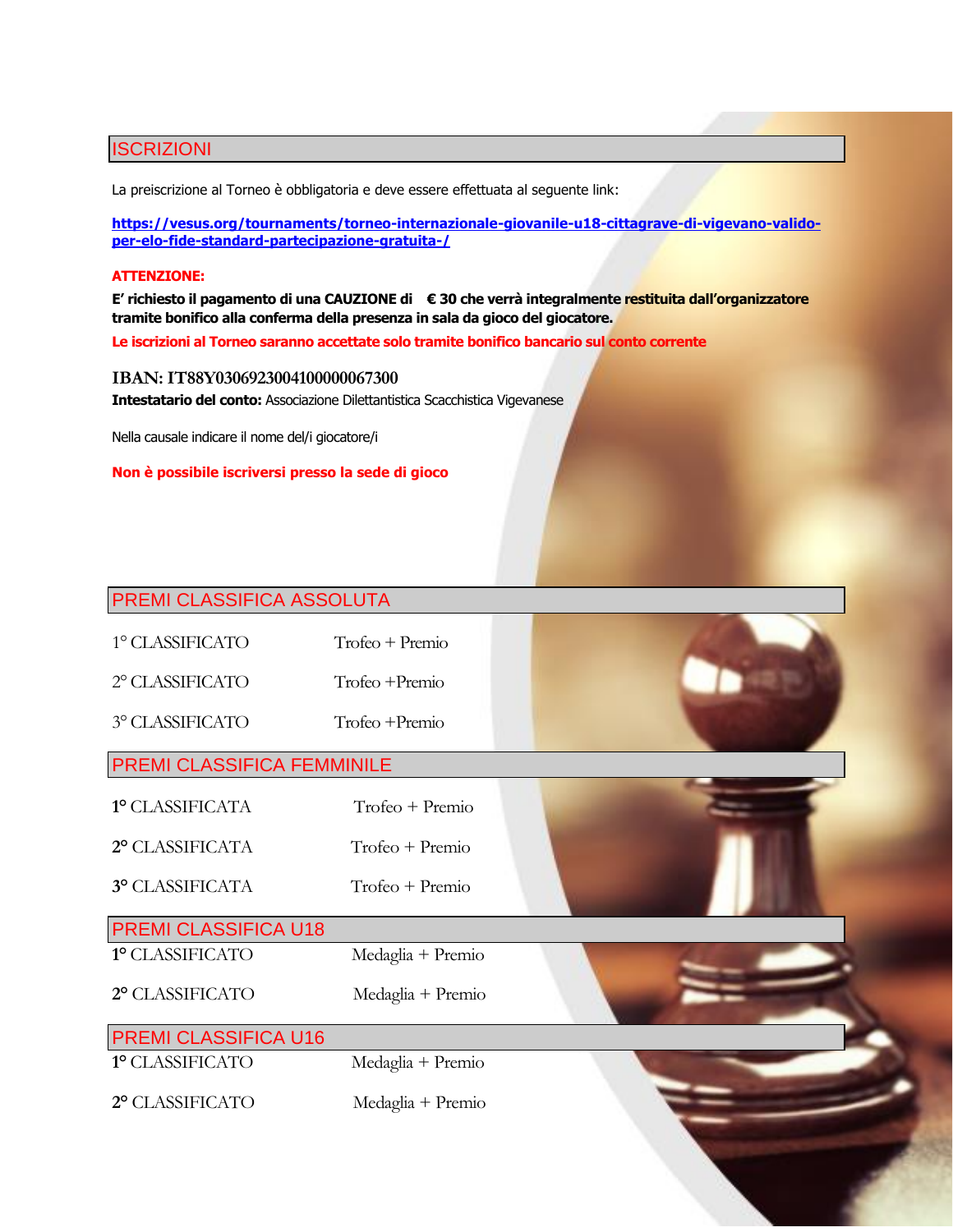# ISCRIZIONI

La preiscrizione al Torneo è obbligatoria e deve essere effettuata al seguente link:

**[https://vesus.org/tournaments/torneo-internazionale-giovanile-u18-cittagrave-di-vigevano-valido](https://vesus.org/tournaments/torneo-internazionale-giovanile-u18-cittagrave-di-vigevano-valido-per-elo-fide-standard-partecipazione-gratuita-/)[per-elo-fide-standard-partecipazione-gratuita-/](https://vesus.org/tournaments/torneo-internazionale-giovanile-u18-cittagrave-di-vigevano-valido-per-elo-fide-standard-partecipazione-gratuita-/)**

## **ATTENZIONE:**

**E' richiesto il pagamento di una CAUZIONE di € 30 che verrà integralmente restituita dall'organizzatore tramite bonifico alla conferma della presenza in sala da gioco del giocatore.**

**Le iscrizioni al Torneo saranno accettate solo tramite bonifico bancario sul conto corrente**

## **IBAN: IT88Y0306923004100000067300**

**Intestatario del conto:** Associazione Dilettantistica Scacchistica Vigevanese

Nella causale indicare il nome del/i giocatore/i

**Non è possibile iscriversi presso la sede di gioco**

# PREMI CLASSIFICA ASSOLUTA

| 1° CLASSIFICATO | $Trofeo + Premio$ |
|-----------------|-------------------|
|                 |                   |

2° CLASSIFICATO Trofeo +Premio

3° CLASSIFICATO Trofeo +Premio

# PREMI CLASSIFICA FEMMINILE

| 1º CLASSIFICATA | Trofeo + Premio |
|-----------------|-----------------|
|                 |                 |

- **2°** CLASSIFICATA Trofeo + Premio
- **3°** CLASSIFICATA Trofeo + Premio

# PREMI CLASSIFICA U18

**1°** CLASSIFICATO Medaglia + Premio

**2°** CLASSIFICATO Medaglia + Premio

# PREMI CLASSIFICA U16

**1°** CLASSIFICATO Medaglia + Premio

**2°** CLASSIFICATO Medaglia + Premio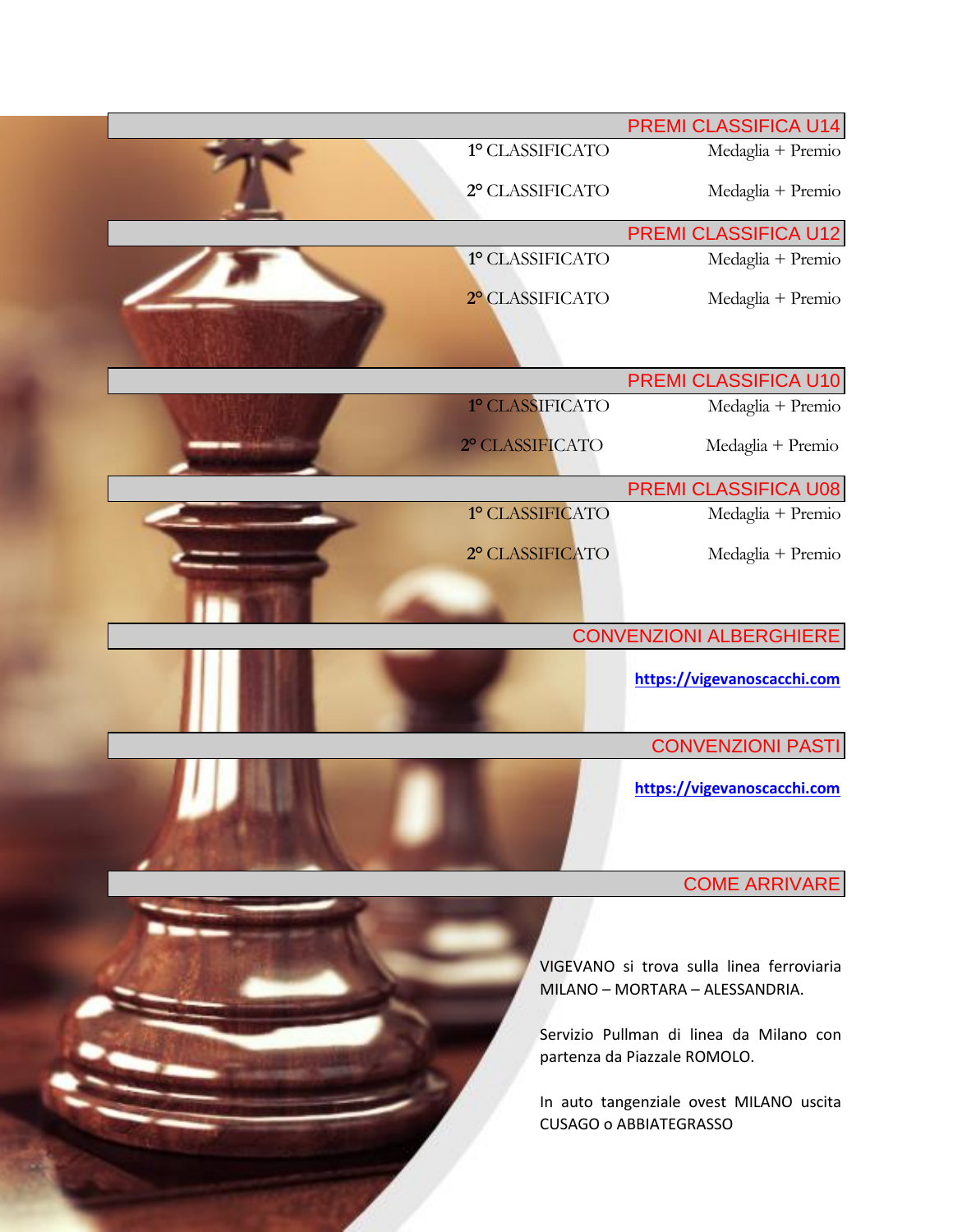|                 | PREMI CLASSIFICA U14                                                         |
|-----------------|------------------------------------------------------------------------------|
| 1º CLASSIFICATO | Medaglia + Premio                                                            |
| 2° CLASSIFICATO | Medaglia + Premio                                                            |
|                 | PREMI CLASSIFICA U12                                                         |
| 1º CLASSIFICATO | Medaglia + Premio                                                            |
| 2º CLASSIFICATO | Medaglia + Premio                                                            |
|                 |                                                                              |
| 1º CLASSIFICATO | PREMI CLASSIFICA U10                                                         |
|                 | Medaglia + Premio                                                            |
| 2º CLASSIFICATO | Medaglia + Premio                                                            |
|                 | PREMI CLASSIFICA U08                                                         |
| 1º CLASSIFICATO | Medaglia + Premio                                                            |
| 2° CLASSIFICATO | Medaglia + Premio                                                            |
|                 |                                                                              |
|                 | <b>CONVENZIONI ALBERGHIERE</b>                                               |
|                 | https://vigevanoscacchi.com                                                  |
|                 | <b>CONVENZIONI PASTI</b>                                                     |
|                 | https://vigevanoscacchi.com                                                  |
|                 | <b>COME ARRIVARE</b>                                                         |
|                 |                                                                              |
|                 | VIGEVANO si trova sulla linea ferroviaria<br>MILANO - MORTARA - ALESSANDRIA. |
|                 | Servizio Pullman di linea da Milano con<br>partenza da Piazzale ROMOLO.      |
|                 | In auto tangenziale ovest MILANO uscita<br><b>CUSAGO o ABBIATEGRASSO</b>     |
|                 |                                                                              |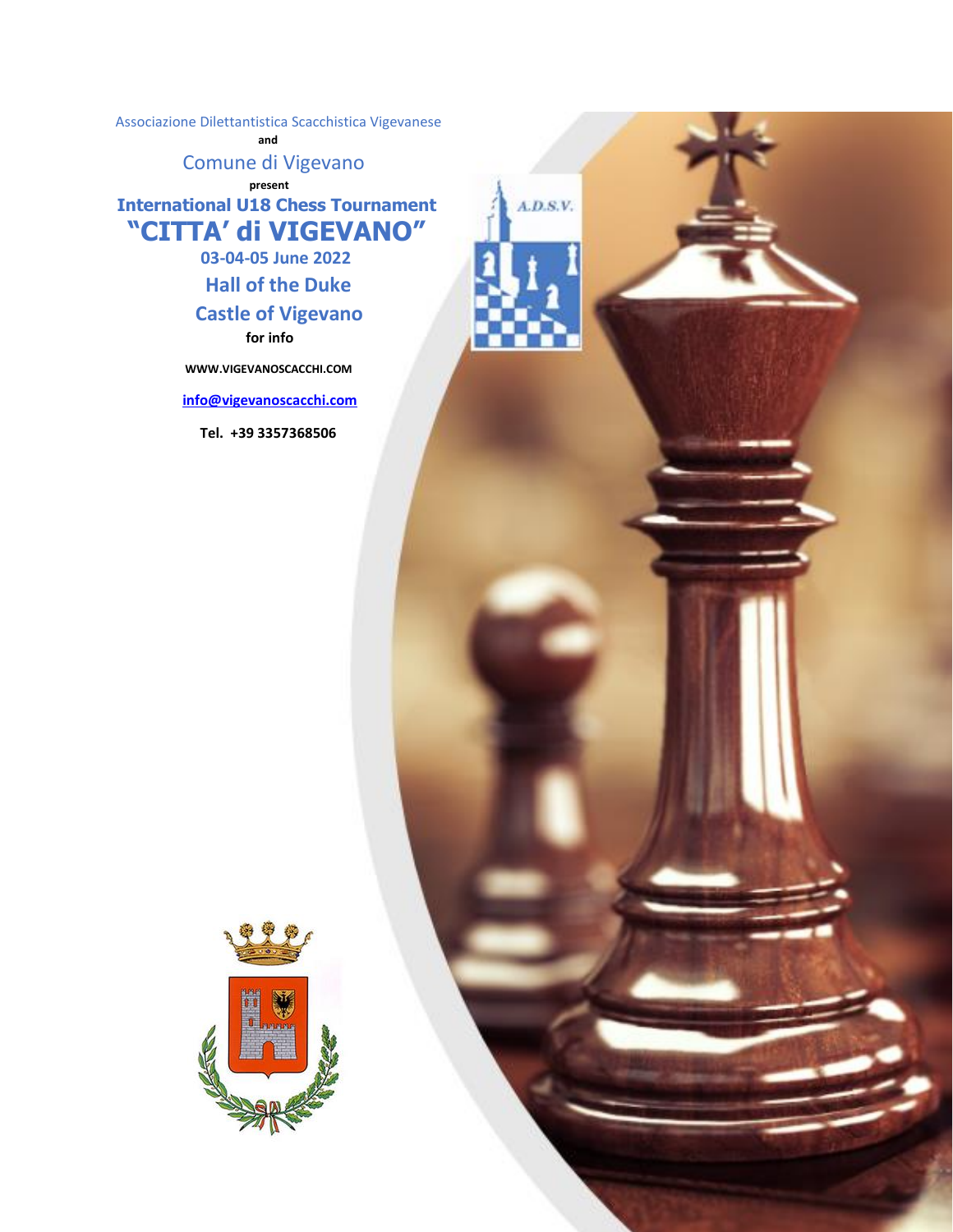Associazione Dilettantistica Scacchistica Vigevanese

 **and**

Comune di Vigevano

*Present* **International U18 Chess Tournament "CITTA' di VIGEVANO"**

 $A.D.S.V.$ 

 **03-04-05 June 2022**

 **Hall of the Duke**

# **Castle of Vigevano for info**

 **WWW.VIGEVANOSCACCHI.COM** 

 **[info@vigevanoscacchi.com](mailto:info@vigevanoscacchi.com)** 

 **Tel. +39 3357368506** 

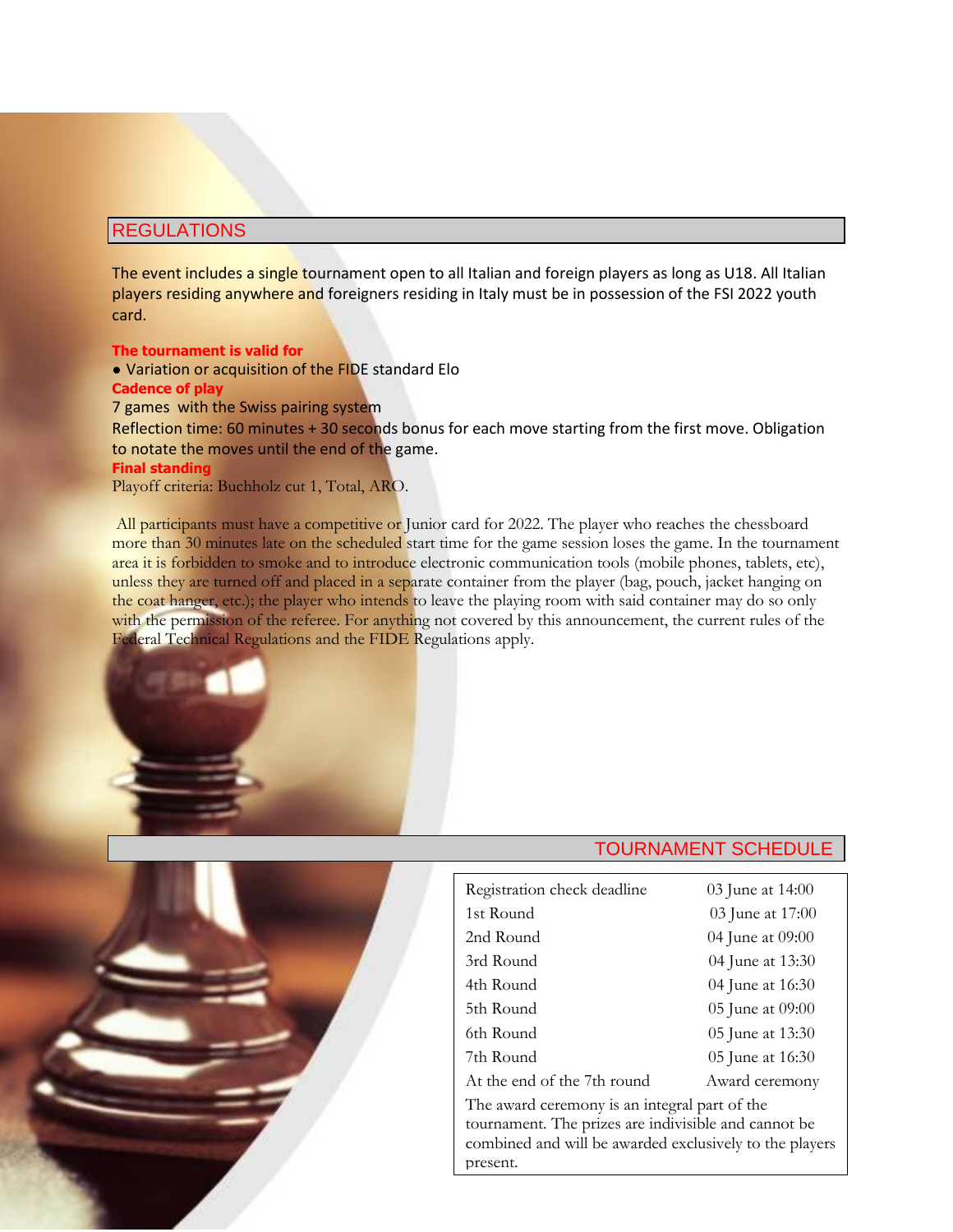# REGULATIONS

The event includes a single tournament open to all Italian and foreign players as long as U18. All Italian players residing anywhere and foreigners residing in Italy must be in possession of the FSI 2022 youth card.

## **The tournament is valid for**

● Variation or acquisition of the FIDE standard Elo

#### **Cadence of play**

7 games with the Swiss pairing system

Reflection time: 60 minutes + 30 seconds bonus for each move starting from the first move. Obligation to notate the moves until the end of the game.

#### **Final standing**

Playoff criteria: Buchholz cut 1, Total, ARO.

All participants must have a competitive or Junior card for 2022. The player who reaches the chessboard more than 30 minutes late on the scheduled start time for the game session loses the game. In the tournament area it is forbidden to smoke and to introduce electronic communication tools (mobile phones, tablets, etc), unless they are turned off and placed in a separate container from the player (bag, pouch, jacket hanging on the coat hanger, etc.); the player who intends to leave the playing room with said container may do so only with the permission of the referee. For anything not covered by this announcement, the current rules of the Federal Technical Regulations and the FIDE Regulations apply.





| Registration check deadline                                                                                                                                      | 03 June at 14:00 |
|------------------------------------------------------------------------------------------------------------------------------------------------------------------|------------------|
| 1st Round                                                                                                                                                        | 03 June at 17:00 |
| 2nd Round                                                                                                                                                        | 04 June at 09:00 |
| 3rd Round                                                                                                                                                        | 04 June at 13:30 |
| 4th Round                                                                                                                                                        | 04 June at 16:30 |
| 5th Round                                                                                                                                                        | 05 June at 09:00 |
| 6th Round                                                                                                                                                        | 05 June at 13:30 |
| 7th Round                                                                                                                                                        | 05 June at 16:30 |
| At the end of the 7th round                                                                                                                                      | Award ceremony   |
| The award ceremony is an integral part of the<br>tournament. The prizes are indivisible and cannot be<br>combined and will be awarded exclusively to the players |                  |
| present.                                                                                                                                                         |                  |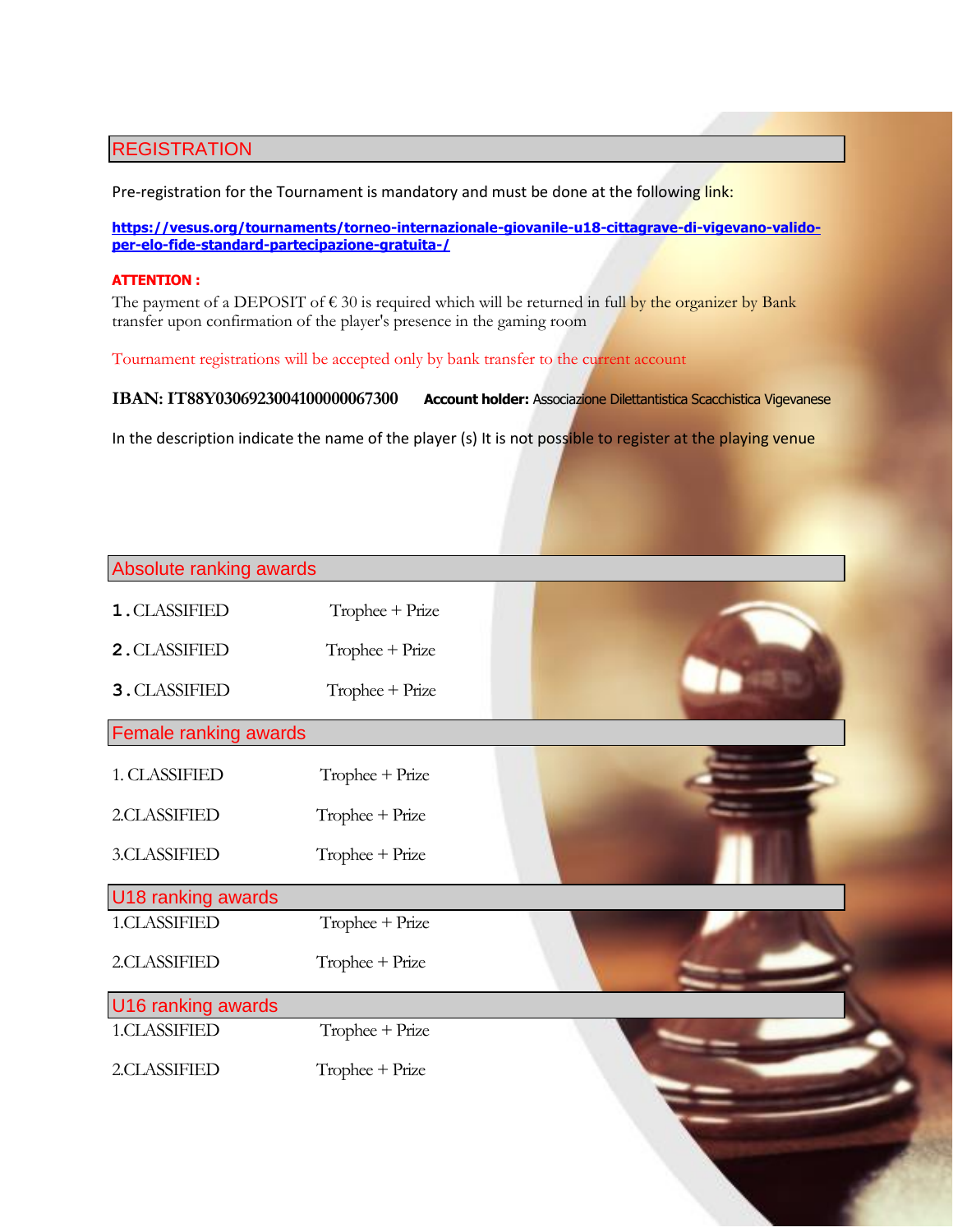# **REGISTRATION**

Pre-registration for the Tournament is mandatory and must be done at the following link:

**[https://vesus.org/tournaments/torneo-internazionale-giovanile-u18-cittagrave-di-vigevano-valido](https://vesus.org/tournaments/torneo-internazionale-giovanile-u18-cittagrave-di-vigevano-valido-per-elo-fide-standard-partecipazione-gratuita-/)[per-elo-fide-standard-partecipazione-gratuita-/](https://vesus.org/tournaments/torneo-internazionale-giovanile-u18-cittagrave-di-vigevano-valido-per-elo-fide-standard-partecipazione-gratuita-/)**

#### **ATTENTION :**

The payment of a DEPOSIT of  $\epsilon$  30 is required which will be returned in full by the organizer by Bank transfer upon confirmation of the player's presence in the gaming room

Tournament registrations will be accepted only by bank transfer to the current account

**IBAN: IT88Y0306923004100000067300 Account holder:** Associazione Dilettantistica Scacchistica Vigevanese

In the description indicate the name of the player (s) It is not possible to register at the playing venue

| Absolute ranking awards |                   |  |
|-------------------------|-------------------|--|
|                         |                   |  |
| 1. CLASSIFIED           | Trophee + Prize   |  |
| 2. CLASSIFIED           | Trophee + Prize   |  |
| 3. CLASSIFIED           | $Trophee + Prize$ |  |
| Female ranking awards   |                   |  |
| 1. CLASSIFIED           | Trophee + Prize   |  |
| 2.CLASSIFIED            | Trophee + Prize   |  |
| 3.CLASSIFIED            | Trophee + Prize   |  |
| U18 ranking awards      |                   |  |
| 1.CLASSIFIED            | Trophee + Prize   |  |
| 2.CLASSIFIED            | Trophee + Prize   |  |
| U16 ranking awards      |                   |  |
| 1.CLASSIFIED            | Trophee + Prize   |  |
| 2.CLASSIFIED            | Trophee + Prize   |  |
|                         |                   |  |
|                         |                   |  |